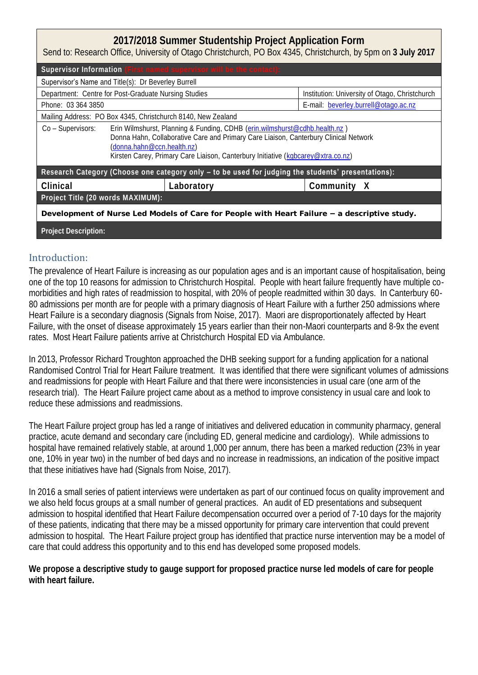### **2017/2018 Summer Studentship Project Application Form**

Send to: Research Office, University of Otago Christchurch, PO Box 4345, Christchurch, by 5pm on **3 July 2017**

|                                                                                                    |                                                                                                                                                                                                                                                                                      | Supervisor Information (First named supervisor will be the contact): |                                                |  |
|----------------------------------------------------------------------------------------------------|--------------------------------------------------------------------------------------------------------------------------------------------------------------------------------------------------------------------------------------------------------------------------------------|----------------------------------------------------------------------|------------------------------------------------|--|
| Supervisor's Name and Title(s): Dr Beverley Burrell                                                |                                                                                                                                                                                                                                                                                      |                                                                      |                                                |  |
| Department: Centre for Post-Graduate Nursing Studies                                               |                                                                                                                                                                                                                                                                                      |                                                                      | Institution: University of Otago, Christchurch |  |
| Phone: 03 364 3850                                                                                 |                                                                                                                                                                                                                                                                                      |                                                                      | E-mail: beverley.burrell@otago.ac.nz           |  |
| Mailing Address: PO Box 4345, Christchurch 8140, New Zealand                                       |                                                                                                                                                                                                                                                                                      |                                                                      |                                                |  |
| Co - Supervisors:                                                                                  | Erin Wilmshurst, Planning & Funding, CDHB (erin.wilmshurst@cdhb.health.nz)<br>Donna Hahn, Collaborative Care and Primary Care Liaison, Canterbury Clinical Network<br>(donna.hahn@ccn.health.nz)<br>Kirsten Carey, Primary Care Liaison, Canterbury Initiative (kgbcarey@xtra.co.nz) |                                                                      |                                                |  |
| Research Category (Choose one category only - to be used for judging the students' presentations): |                                                                                                                                                                                                                                                                                      |                                                                      |                                                |  |
| Clinical                                                                                           |                                                                                                                                                                                                                                                                                      | Laboratory                                                           | Community X                                    |  |
| Project Title (20 words MAXIMUM):                                                                  |                                                                                                                                                                                                                                                                                      |                                                                      |                                                |  |
| Development of Nurse Led Models of Care for People with Heart Failure - a descriptive study.       |                                                                                                                                                                                                                                                                                      |                                                                      |                                                |  |
| Project Description:                                                                               |                                                                                                                                                                                                                                                                                      |                                                                      |                                                |  |

#### Introduction:

The prevalence of Heart Failure is increasing as our population ages and is an important cause of hospitalisation, being one of the top 10 reasons for admission to Christchurch Hospital. People with heart failure frequently have multiple comorbidities and high rates of readmission to hospital, with 20% of people readmitted within 30 days. In Canterbury 60- 80 admissions per month are for people with a primary diagnosis of Heart Failure with a further 250 admissions where Heart Failure is a secondary diagnosis (Signals from Noise, 2017). Maori are disproportionately affected by Heart Failure, with the onset of disease approximately 15 years earlier than their non-Maori counterparts and 8-9x the event rates. Most Heart Failure patients arrive at Christchurch Hospital ED via Ambulance.

In 2013, Professor Richard Troughton approached the DHB seeking support for a funding application for a national Randomised Control Trial for Heart Failure treatment. It was identified that there were significant volumes of admissions and readmissions for people with Heart Failure and that there were inconsistencies in usual care (one arm of the research trial). The Heart Failure project came about as a method to improve consistency in usual care and look to reduce these admissions and readmissions.

The Heart Failure project group has led a range of initiatives and delivered education in community pharmacy, general practice, acute demand and secondary care (including ED, general medicine and cardiology). While admissions to hospital have remained relatively stable, at around 1,000 per annum, there has been a marked reduction (23% in year one, 10% in year two) in the number of bed days and no increase in readmissions, an indication of the positive impact that these initiatives have had (Signals from Noise, 2017).

In 2016 a small series of patient interviews were undertaken as part of our continued focus on quality improvement and we also held focus groups at a small number of general practices. An audit of ED presentations and subsequent admission to hospital identified that Heart Failure decompensation occurred over a period of 7-10 days for the majority of these patients, indicating that there may be a missed opportunity for primary care intervention that could prevent admission to hospital. The Heart Failure project group has identified that practice nurse intervention may be a model of care that could address this opportunity and to this end has developed some proposed models.

**We propose a descriptive study to gauge support for proposed practice nurse led models of care for people with heart failure.**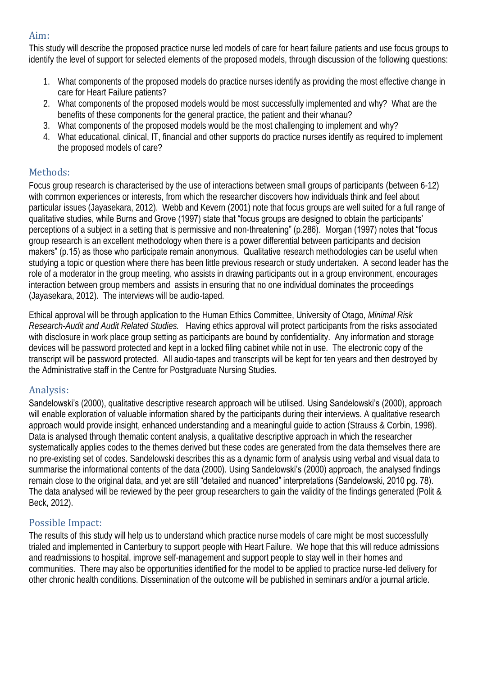# Aim:

This study will describe the proposed practice nurse led models of care for heart failure patients and use focus groups to identify the level of support for selected elements of the proposed models, through discussion of the following questions:

- 1. What components of the proposed models do practice nurses identify as providing the most effective change in care for Heart Failure patients?
- 2. What components of the proposed models would be most successfully implemented and why? What are the benefits of these components for the general practice, the patient and their whanau?
- 3. What components of the proposed models would be the most challenging to implement and why?
- 4. What educational, clinical, IT, financial and other supports do practice nurses identify as required to implement the proposed models of care?

# Methods:

Focus group research is characterised by the use of interactions between small groups of participants (between 6-12) with common experiences or interests, from which the researcher discovers how individuals think and feel about particular issues (Jayasekara, 2012). Webb and Kevern (2001) note that focus groups are well suited for a full range of qualitative studies, while Burns and Grove (1997) state that "focus groups are designed to obtain the participants' perceptions of a subject in a setting that is permissive and non-threatening" (p.286). Morgan (1997) notes that "focus group research is an excellent methodology when there is a power differential between participants and decision makers" (p.15) as those who participate remain anonymous. Qualitative research methodologies can be useful when studying a topic or question where there has been little previous research or study undertaken. A second leader has the role of a moderator in the group meeting, who assists in drawing participants out in a group environment, encourages interaction between group members and assists in ensuring that no one individual dominates the proceedings (Jayasekara, 2012). The interviews will be audio-taped.

Ethical approval will be through application to the Human Ethics Committee, University of Otago, *Minimal Risk Research-Audit and Audit Related Studies.* Having ethics approval will protect participants from the risks associated with disclosure in work place group setting as participants are bound by confidentiality. Any information and storage devices will be password protected and kept in a locked filing cabinet while not in use. The electronic copy of the transcript will be password protected. All audio-tapes and transcripts will be kept for ten years and then destroyed by the Administrative staff in the Centre for Postgraduate Nursing Studies.

### Analysis:

Sandelowski's (2000), qualitative descriptive research approach will be utilised. Using Sandelowski's (2000), approach will enable exploration of valuable information shared by the participants during their interviews. A qualitative research approach would provide insight, enhanced understanding and a meaningful guide to action (Strauss & Corbin, 1998). Data is analysed through thematic content analysis, a qualitative descriptive approach in which the researcher systematically applies codes to the themes derived but these codes are generated from the data themselves there are no pre-existing set of codes. Sandelowski describes this as a dynamic form of analysis using verbal and visual data to summarise the informational contents of the data (2000). Using Sandelowski's (2000) approach, the analysed findings remain close to the original data, and yet are still "detailed and nuanced" interpretations (Sandelowski, 2010 pg. 78). The data analysed will be reviewed by the peer group researchers to gain the validity of the findings generated (Polit & Beck, 2012).

# Possible Impact:

The results of this study will help us to understand which practice nurse models of care might be most successfully trialed and implemented in Canterbury to support people with Heart Failure. We hope that this will reduce admissions and readmissions to hospital, improve self-management and support people to stay well in their homes and communities. There may also be opportunities identified for the model to be applied to practice nurse-led delivery for other chronic health conditions. Dissemination of the outcome will be published in seminars and/or a journal article.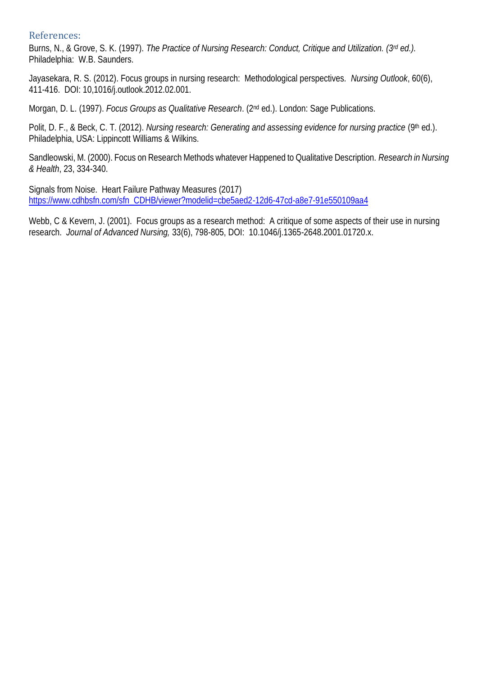#### References:

Burns, N., & Grove, S. K. (1997). *The Practice of Nursing Research: Conduct, Critique and Utilization. (3rd ed.).* Philadelphia: W.B. Saunders.

Jayasekara, R. S. (2012). Focus groups in nursing research: Methodological perspectives*. Nursing Outlook*, 60(6), 411-416. DOI: 10,1016/j.outlook.2012.02.001.

Morgan, D. L. (1997). *Focus Groups as Qualitative Research*. (2nd ed.). London: Sage Publications.

Polit, D. F., & Beck, C. T. (2012). *Nursing research: Generating and assessing evidence for nursing practice* (9<sup>th</sup> ed.). Philadelphia, USA: Lippincott Williams & Wilkins.

Sandleowski, M. (2000). Focus on Research Methods whatever Happened to Qualitative Description. *Research in Nursing & Health*, 23, 334-340.

Signals from Noise. Heart Failure Pathway Measures (2017) [https://www.cdhbsfn.com/sfn\\_CDHB/viewer?modelid=cbe5aed2-12d6-47cd-a8e7-91e550109aa4](https://www.cdhbsfn.com/sfn_CDHB/viewer?modelid=cbe5aed2-12d6-47cd-a8e7-91e550109aa4)

Webb, C & Kevern, J. (2001). Focus groups as a research method: A critique of some aspects of their use in nursing research. *Journal of Advanced Nursing,* 33(6), 798-805, DOI: 10.1046/j.1365-2648.2001.01720.x.